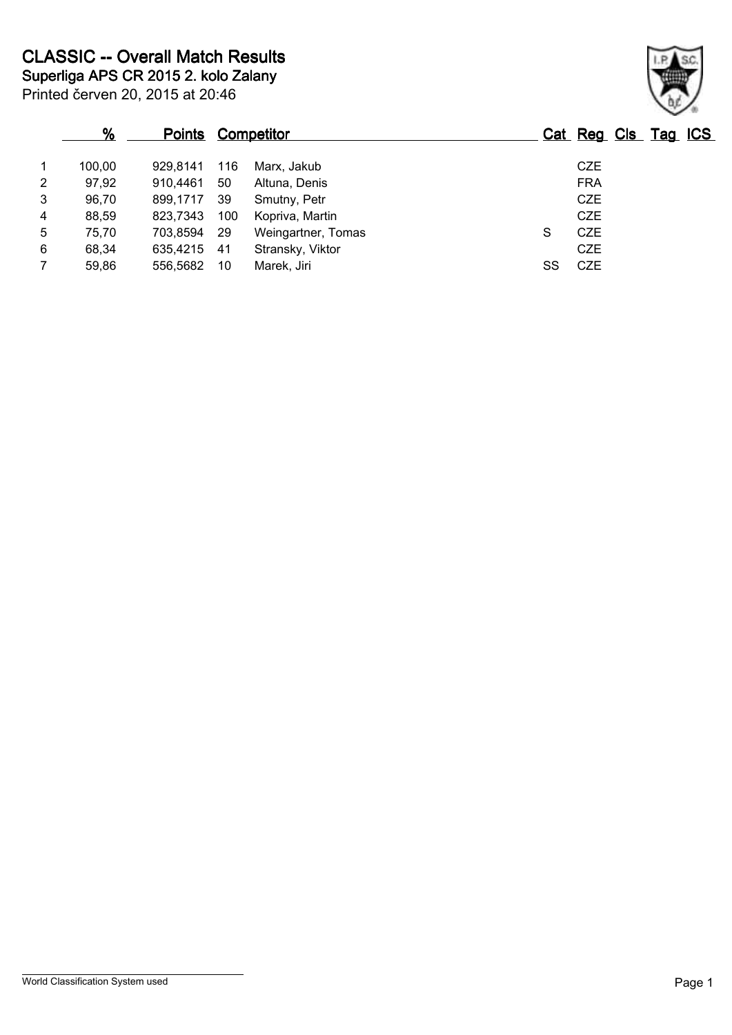|                | %      | <b>Points Competitor</b> |     |                    |    | Cat Reg Cls Tag ICS |  |  |
|----------------|--------|--------------------------|-----|--------------------|----|---------------------|--|--|
| 1              | 100,00 | 929.8141                 | 116 | Marx, Jakub        |    | <b>CZE</b>          |  |  |
| $\overline{2}$ | 97,92  | 910.4461                 | 50  | Altuna, Denis      |    | <b>FRA</b>          |  |  |
| 3              | 96,70  | 899.1717                 | 39  | Smutny, Petr       |    | <b>CZE</b>          |  |  |
| $\overline{4}$ | 88,59  | 823,7343                 | 100 | Kopriva, Martin    |    | <b>CZE</b>          |  |  |
| 5              | 75,70  | 703,8594                 | -29 | Weingartner, Tomas | S  | <b>CZE</b>          |  |  |
| 6              | 68,34  | 635.4215                 | -41 | Stransky, Viktor   |    | <b>CZE</b>          |  |  |
| $\overline{7}$ | 59,86  | 556,5682                 | -10 | Marek, Jiri        | SS | <b>CZE</b>          |  |  |

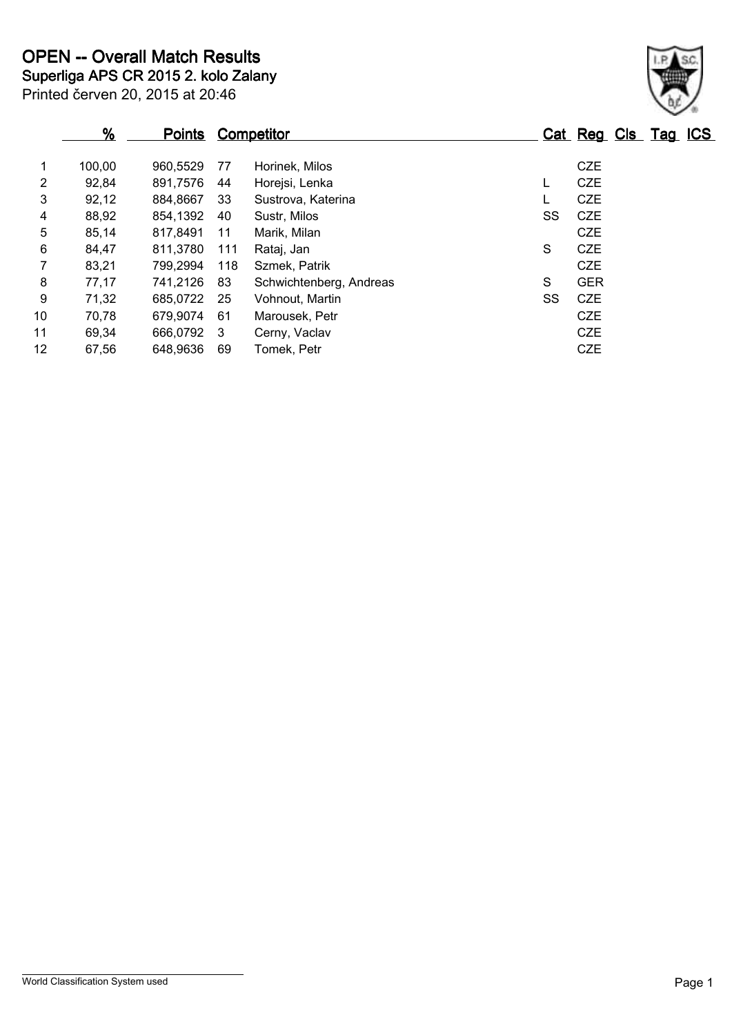|                | $\frac{9}{6}$ | <b>Points</b> |     | <b>Competitor</b>       |    | Cat Reg Cls Tag ICS |  |  |
|----------------|---------------|---------------|-----|-------------------------|----|---------------------|--|--|
| 1              | 100,00        | 960,5529      | 77  | Horinek, Milos          |    | <b>CZE</b>          |  |  |
| 2              | 92,84         | 891,7576      | 44  | Horejsi, Lenka          | L  | <b>CZE</b>          |  |  |
| 3              | 92,12         | 884,8667      | -33 | Sustrova, Katerina      |    | <b>CZE</b>          |  |  |
| 4              | 88,92         | 854,1392      | 40  | Sustr, Milos            | SS | <b>CZE</b>          |  |  |
| 5              | 85,14         | 817,8491      | 11  | Marik, Milan            |    | <b>CZE</b>          |  |  |
| 6              | 84,47         | 811,3780      | 111 | Rataj, Jan              | S  | <b>CZE</b>          |  |  |
| $\overline{7}$ | 83,21         | 799,2994      | 118 | Szmek, Patrik           |    | <b>CZE</b>          |  |  |
| 8              | 77,17         | 741,2126      | 83  | Schwichtenberg, Andreas | S  | <b>GER</b>          |  |  |
| 9              | 71,32         | 685,0722      | -25 | Vohnout, Martin         | SS | <b>CZE</b>          |  |  |
| 10             | 70,78         | 679,9074      | 61  | Marousek, Petr          |    | <b>CZE</b>          |  |  |
| 11             | 69,34         | 666,0792      | -3  | Cerny, Vaclav           |    | <b>CZE</b>          |  |  |
| 12             | 67,56         | 648,9636      | 69  | Tomek, Petr             |    | <b>CZE</b>          |  |  |

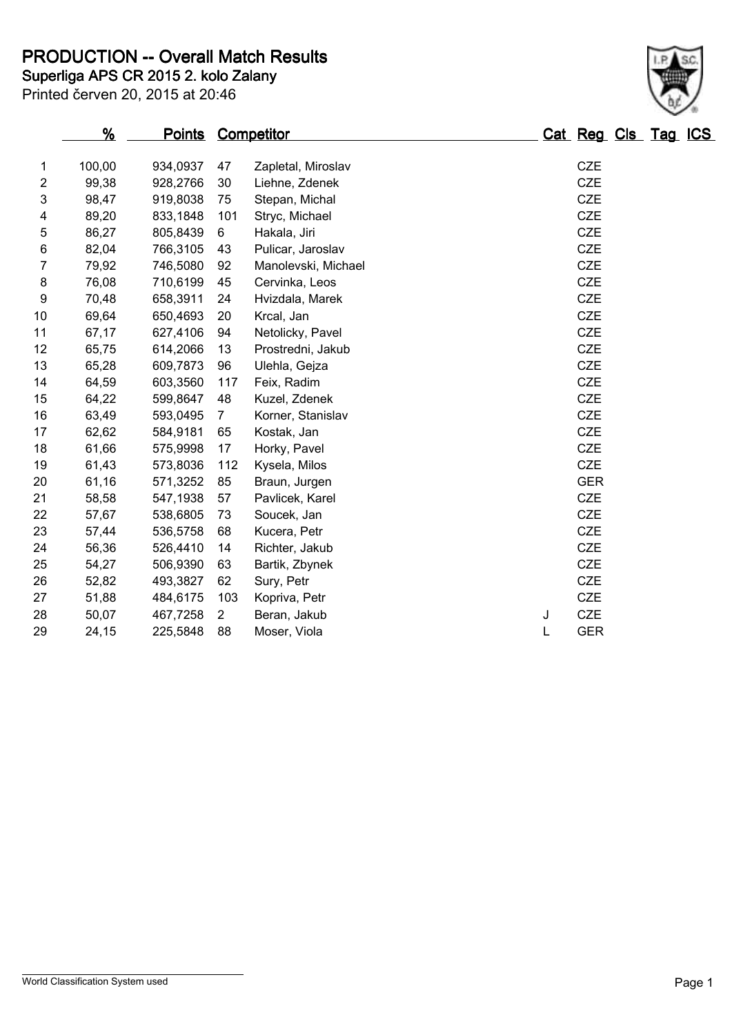**Superliga APS CR 2015 2. kolo Zalany PRODUCTION -- Overall Match Results**

| Printed červen 20, 2015 at 20:46 |  |  |  |
|----------------------------------|--|--|--|

|                | %      | Points Competitor |                |                     |   | Cat Reg Cls Tag ICS |  |  |
|----------------|--------|-------------------|----------------|---------------------|---|---------------------|--|--|
| $\mathbf{1}$   | 100,00 | 934,0937          | 47             | Zapletal, Miroslav  |   | CZE                 |  |  |
| $\overline{2}$ | 99,38  | 928,2766          | 30             | Liehne, Zdenek      |   | <b>CZE</b>          |  |  |
| 3              | 98,47  | 919,8038          | 75             | Stepan, Michal      |   | <b>CZE</b>          |  |  |
| 4              | 89,20  | 833,1848          | 101            | Stryc, Michael      |   | CZE                 |  |  |
| 5              | 86,27  | 805,8439          | 6              | Hakala, Jiri        |   | <b>CZE</b>          |  |  |
| $\,6$          | 82,04  | 766,3105          | 43             | Pulicar, Jaroslav   |   | CZE                 |  |  |
| $\overline{7}$ | 79,92  | 746,5080          | 92             | Manolevski, Michael |   | <b>CZE</b>          |  |  |
| 8              | 76,08  | 710,6199          | 45             | Cervinka, Leos      |   | CZE                 |  |  |
| 9              | 70,48  | 658,3911          | 24             | Hvizdala, Marek     |   | <b>CZE</b>          |  |  |
| 10             | 69,64  | 650,4693          | 20             | Krcal, Jan          |   | <b>CZE</b>          |  |  |
| 11             | 67,17  | 627,4106          | 94             | Netolicky, Pavel    |   | <b>CZE</b>          |  |  |
| 12             | 65,75  | 614,2066          | 13             | Prostredni, Jakub   |   | CZE                 |  |  |
| 13             | 65,28  | 609,7873          | 96             | Ulehla, Gejza       |   | <b>CZE</b>          |  |  |
| 14             | 64,59  | 603,3560          | 117            | Feix, Radim         |   | <b>CZE</b>          |  |  |
| 15             | 64,22  | 599,8647          | 48             | Kuzel, Zdenek       |   | <b>CZE</b>          |  |  |
| 16             | 63,49  | 593,0495          | $\overline{7}$ | Korner, Stanislav   |   | <b>CZE</b>          |  |  |
| 17             | 62,62  | 584,9181          | 65             | Kostak, Jan         |   | CZE                 |  |  |
| 18             | 61,66  | 575,9998          | 17             | Horky, Pavel        |   | <b>CZE</b>          |  |  |
| 19             | 61,43  | 573,8036          | 112            | Kysela, Milos       |   | <b>CZE</b>          |  |  |
| 20             | 61,16  | 571,3252          | 85             | Braun, Jurgen       |   | <b>GER</b>          |  |  |
| 21             | 58,58  | 547,1938          | 57             | Pavlicek, Karel     |   | CZE                 |  |  |
| 22             | 57,67  | 538,6805          | 73             | Soucek, Jan         |   | <b>CZE</b>          |  |  |
| 23             | 57,44  | 536,5758          | 68             | Kucera, Petr        |   | <b>CZE</b>          |  |  |
| 24             | 56,36  | 526,4410          | 14             | Richter, Jakub      |   | <b>CZE</b>          |  |  |
| 25             | 54,27  | 506,9390          | 63             | Bartik, Zbynek      |   | CZE                 |  |  |
| 26             | 52,82  | 493,3827          | 62             | Sury, Petr          |   | CZE                 |  |  |
| 27             | 51,88  | 484,6175          | 103            | Kopriva, Petr       |   | CZE                 |  |  |
| 28             | 50,07  | 467,7258          | $\overline{2}$ | Beran, Jakub        | J | <b>CZE</b>          |  |  |
| 29             | 24,15  | 225,5848          | 88             | Moser, Viola        | L | <b>GER</b>          |  |  |

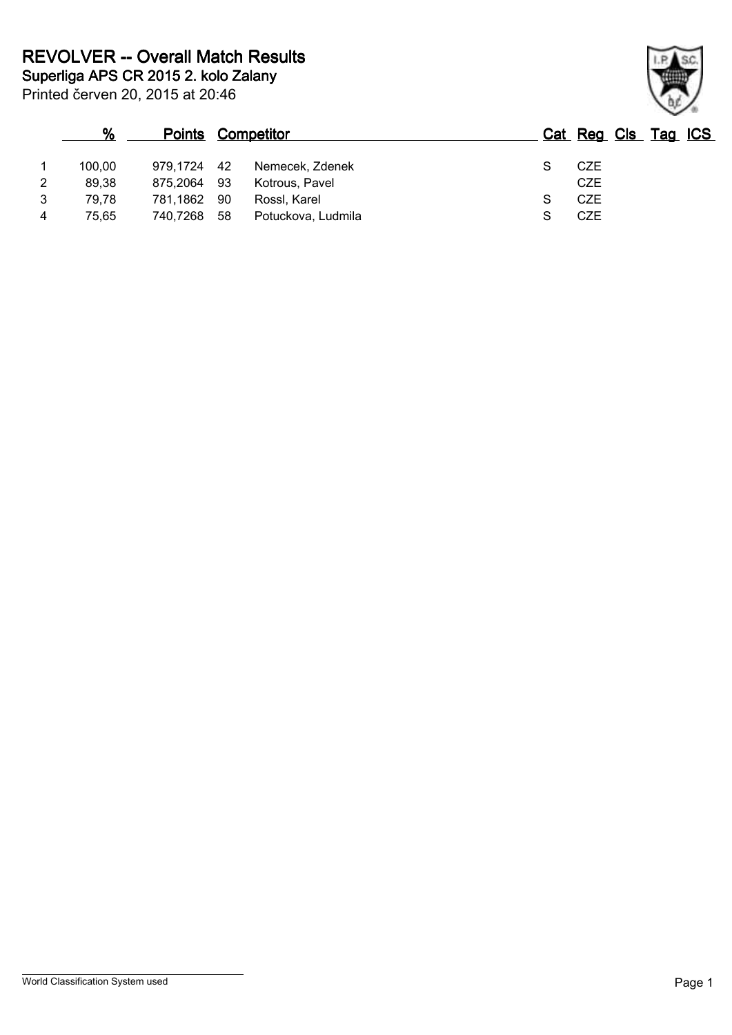|   | %      |             |      | <b>Points Competitor</b> | Cat Reg Cls Tag ICS |  |  |
|---|--------|-------------|------|--------------------------|---------------------|--|--|
|   | 100,00 | 979,1724 42 |      | Nemecek, Zdenek          | CZE                 |  |  |
| 2 | 89,38  | 875.2064    | - 93 | Kotrous, Pavel           | <b>CZE</b>          |  |  |
| 3 | 79.78  | 781.1862    | - 90 | Rossl, Karel             | <b>CZE</b>          |  |  |
| 4 | 75.65  | 740,7268    | 58   | Potuckova, Ludmila       | <b>CZE</b>          |  |  |

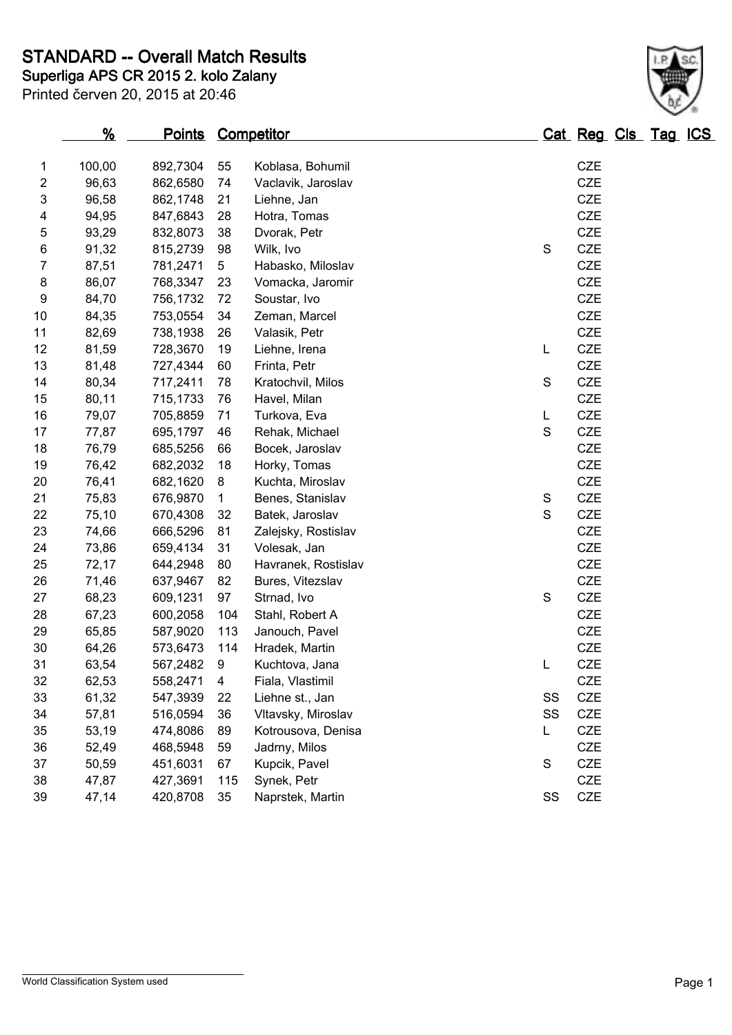**Superliga APS CR 2015 2. kolo Zalany STANDARD -- Overall Match Results**

| Printed červen 20, 2015 at 20:46 |  |
|----------------------------------|--|

|                         | $\frac{9}{6}$ | <b>Points Competitor</b> |                |                     |             |    | Cat Reg Cls Tag ICS |  |  |
|-------------------------|---------------|--------------------------|----------------|---------------------|-------------|----|---------------------|--|--|
| 1                       | 100,00        | 892,7304                 | 55             | Koblasa, Bohumil    |             |    | <b>CZE</b>          |  |  |
| $\overline{\mathbf{c}}$ | 96,63         | 862,6580                 | 74             | Vaclavik, Jaroslav  |             |    | CZE                 |  |  |
| 3                       | 96,58         | 862,1748                 | 21             | Liehne, Jan         |             |    | <b>CZE</b>          |  |  |
| 4                       | 94,95         | 847,6843                 | 28             | Hotra, Tomas        |             |    | <b>CZE</b>          |  |  |
| 5                       | 93,29         | 832,8073                 | 38             | Dvorak, Petr        |             |    | <b>CZE</b>          |  |  |
| 6                       | 91,32         | 815,2739                 | 98             | Wilk, Ivo           | $\mathbf S$ |    | CZE                 |  |  |
| 7                       | 87,51         | 781,2471                 | 5              | Habasko, Miloslav   |             |    | CZE                 |  |  |
| 8                       | 86,07         | 768,3347                 | 23             | Vomacka, Jaromir    |             |    | <b>CZE</b>          |  |  |
| $\boldsymbol{9}$        | 84,70         | 756,1732                 | 72             | Soustar, Ivo        |             |    | <b>CZE</b>          |  |  |
| 10                      | 84,35         | 753,0554                 | 34             | Zeman, Marcel       |             |    | CZE                 |  |  |
| 11                      | 82,69         | 738,1938                 | 26             | Valasik, Petr       |             |    | <b>CZE</b>          |  |  |
| 12                      | 81,59         | 728,3670                 | 19             | Liehne, Irena       | L           |    | <b>CZE</b>          |  |  |
| 13                      | 81,48         | 727,4344                 | 60             | Frinta, Petr        |             |    | <b>CZE</b>          |  |  |
| 14                      | 80,34         | 717,2411                 | 78             | Kratochvil, Milos   | $\mathbf S$ |    | CZE                 |  |  |
| 15                      | 80,11         | 715,1733                 | 76             | Havel, Milan        |             |    | <b>CZE</b>          |  |  |
| 16                      | 79,07         | 705,8859                 | 71             | Turkova, Eva        | L           |    | <b>CZE</b>          |  |  |
| 17                      | 77,87         | 695,1797                 | 46             | Rehak, Michael      | $\mathsf S$ |    | CZE                 |  |  |
| 18                      | 76,79         | 685,5256                 | 66             | Bocek, Jaroslav     |             |    | <b>CZE</b>          |  |  |
| 19                      | 76,42         | 682,2032                 | 18             | Horky, Tomas        |             |    | CZE                 |  |  |
| 20                      | 76,41         | 682,1620                 | 8              | Kuchta, Miroslav    |             |    | <b>CZE</b>          |  |  |
| 21                      | 75,83         | 676,9870                 | 1              | Benes, Stanislav    | S           |    | CZE                 |  |  |
| 22                      | 75,10         | 670,4308                 | 32             | Batek, Jaroslav     | $\mathbf S$ |    | CZE                 |  |  |
| 23                      | 74,66         | 666,5296                 | 81             | Zalejsky, Rostislav |             |    | <b>CZE</b>          |  |  |
| 24                      | 73,86         | 659,4134                 | 31             | Volesak, Jan        |             |    | <b>CZE</b>          |  |  |
| 25                      | 72,17         | 644,2948                 | 80             | Havranek, Rostislav |             |    | <b>CZE</b>          |  |  |
| 26                      | 71,46         | 637,9467                 | 82             | Bures, Vitezslav    |             |    | <b>CZE</b>          |  |  |
| 27                      | 68,23         | 609,1231                 | 97             | Strnad, Ivo         | S           |    | CZE                 |  |  |
| 28                      | 67,23         | 600,2058                 | 104            | Stahl, Robert A     |             |    | <b>CZE</b>          |  |  |
| 29                      | 65,85         | 587,9020                 | 113            | Janouch, Pavel      |             |    | CZE                 |  |  |
| 30                      | 64,26         | 573,6473                 | 114            | Hradek, Martin      |             |    | CZE                 |  |  |
| 31                      | 63,54         | 567,2482                 | 9              | Kuchtova, Jana      | L           |    | <b>CZE</b>          |  |  |
| 32                      | 62,53         | 558,2471                 | $\overline{4}$ | Fiala, Vlastimil    |             |    | <b>CZE</b>          |  |  |
| 33                      | 61,32         | 547,3939                 | 22             | Liehne st., Jan     |             | SS | CZE                 |  |  |
| 34                      | 57,81         | 516,0594                 | 36             | Vltavsky, Miroslav  |             | SS | CZE                 |  |  |
| 35                      | 53,19         | 474,8086                 | 89             | Kotrousova, Denisa  | L           |    | CZE                 |  |  |
| 36                      | 52,49         | 468,5948                 | 59             | Jadrny, Milos       |             |    | CZE                 |  |  |
| 37                      | 50,59         | 451,6031                 | 67             | Kupcik, Pavel       | S           |    | CZE                 |  |  |
| 38                      | 47,87         | 427,3691                 | 115            | Synek, Petr         |             |    | <b>CZE</b>          |  |  |
| 39                      | 47,14         | 420,8708                 | 35             | Naprstek, Martin    |             | SS | CZE                 |  |  |
|                         |               |                          |                |                     |             |    |                     |  |  |